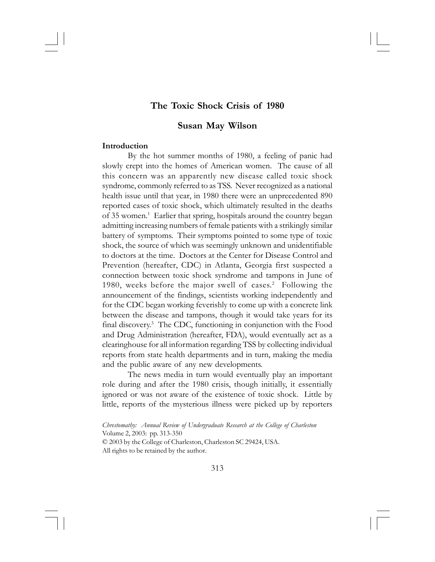# **The Toxic Shock Crisis of 1980**

# **Susan May Wilson**

### **Introduction**

By the hot summer months of 1980, a feeling of panic had slowly crept into the homes of American women. The cause of all this concern was an apparently new disease called toxic shock syndrome, commonly referred to as TSS. Never recognized as a national health issue until that year, in 1980 there were an unprecedented 890 reported cases of toxic shock, which ultimately resulted in the deaths of 35 women.<sup>1</sup> Earlier that spring, hospitals around the country began admitting increasing numbers of female patients with a strikingly similar battery of symptoms. Their symptoms pointed to some type of toxic shock, the source of which was seemingly unknown and unidentifiable to doctors at the time. Doctors at the Center for Disease Control and Prevention (hereafter, CDC) in Atlanta, Georgia first suspected a connection between toxic shock syndrome and tampons in June of 1980, weeks before the major swell of cases.<sup>2</sup> Following the announcement of the findings, scientists working independently and for the CDC began working feverishly to come up with a concrete link between the disease and tampons, though it would take years for its final discovery.3 The CDC, functioning in conjunction with the Food and Drug Administration (hereafter, FDA), would eventually act as a clearinghouse for all information regarding TSS by collecting individual reports from state health departments and in turn, making the media and the public aware of any new developments.

The news media in turn would eventually play an important role during and after the 1980 crisis, though initially, it essentially ignored or was not aware of the existence of toxic shock. Little by little, reports of the mysterious illness were picked up by reporters

*Chrestomathy: Annual Review of Undergraduate Research at the College of Charleston* Volume 2, 2003: pp. 313-350 © 2003 by the College of Charleston, Charleston SC 29424, USA. All rights to be retained by the author.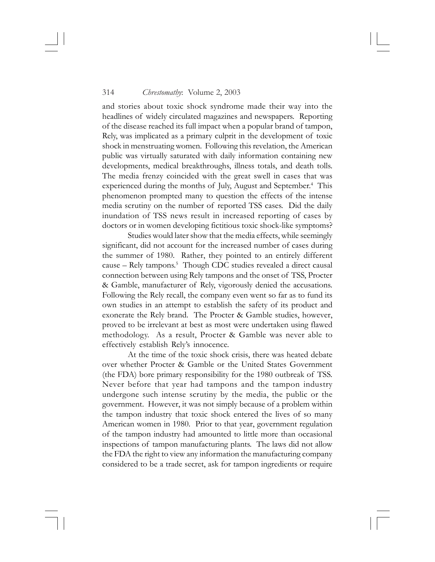and stories about toxic shock syndrome made their way into the headlines of widely circulated magazines and newspapers. Reporting of the disease reached its full impact when a popular brand of tampon, Rely, was implicated as a primary culprit in the development of toxic shock in menstruating women. Following this revelation, the American public was virtually saturated with daily information containing new developments, medical breakthroughs, illness totals, and death tolls. The media frenzy coincided with the great swell in cases that was experienced during the months of July, August and September.<sup>4</sup> This phenomenon prompted many to question the effects of the intense media scrutiny on the number of reported TSS cases. Did the daily inundation of TSS news result in increased reporting of cases by doctors or in women developing fictitious toxic shock-like symptoms?

Studies would later show that the media effects, while seemingly significant, did not account for the increased number of cases during the summer of 1980. Rather, they pointed to an entirely different cause - Rely tampons.<sup>5</sup> Though CDC studies revealed a direct causal connection between using Rely tampons and the onset of TSS, Procter & Gamble, manufacturer of Rely, vigorously denied the accusations. Following the Rely recall, the company even went so far as to fund its own studies in an attempt to establish the safety of its product and exonerate the Rely brand. The Procter & Gamble studies, however, proved to be irrelevant at best as most were undertaken using flawed methodology. As a result, Procter & Gamble was never able to effectively establish Rely's innocence.

At the time of the toxic shock crisis, there was heated debate over whether Procter & Gamble or the United States Government (the FDA) bore primary responsibility for the 1980 outbreak of TSS. Never before that year had tampons and the tampon industry undergone such intense scrutiny by the media, the public or the government. However, it was not simply because of a problem within the tampon industry that toxic shock entered the lives of so many American women in 1980. Prior to that year, government regulation of the tampon industry had amounted to little more than occasional inspections of tampon manufacturing plants. The laws did not allow the FDA the right to view any information the manufacturing company considered to be a trade secret, ask for tampon ingredients or require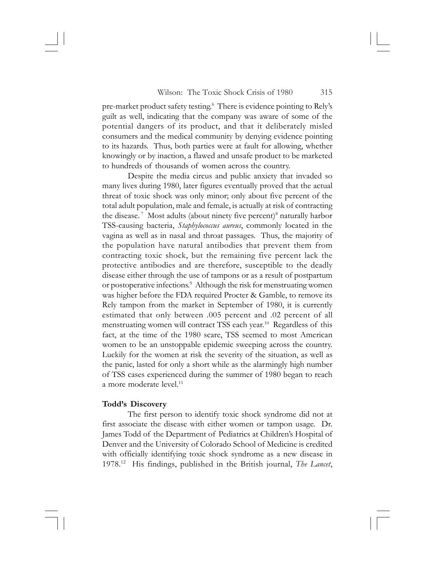pre-market product safety testing.6 There is evidence pointing to Rely's guilt as well, indicating that the company was aware of some of the potential dangers of its product, and that it deliberately misled consumers and the medical community by denying evidence pointing to its hazards. Thus, both parties were at fault for allowing, whether knowingly or by inaction, a flawed and unsafe product to be marketed to hundreds of thousands of women across the country.

Despite the media circus and public anxiety that invaded so many lives during 1980, later figures eventually proved that the actual threat of toxic shock was only minor; only about five percent of the total adult population, male and female, is actually at risk of contracting the disease.<sup>7</sup> Most adults (about ninety five percent)<sup>8</sup> naturally harbor TSS-causing bacteria, *Staphylococcus aureus*, commonly located in the vagina as well as in nasal and throat passages. Thus, the majority of the population have natural antibodies that prevent them from contracting toxic shock, but the remaining five percent lack the protective antibodies and are therefore, susceptible to the deadly disease either through the use of tampons or as a result of postpartum or postoperative infections.<sup>9</sup> Although the risk for menstruating women was higher before the FDA required Procter & Gamble, to remove its Rely tampon from the market in September of 1980, it is currently estimated that only between .005 percent and .02 percent of all menstruating women will contract TSS each year.10 Regardless of this fact, at the time of the 1980 scare, TSS seemed to most American women to be an unstoppable epidemic sweeping across the country. Luckily for the women at risk the severity of the situation, as well as the panic, lasted for only a short while as the alarmingly high number of TSS cases experienced during the summer of 1980 began to reach a more moderate level.<sup>11</sup>

# **Todd's Discovery**

The first person to identify toxic shock syndrome did not at first associate the disease with either women or tampon usage. Dr. James Todd of the Department of Pediatrics at Children's Hospital of Denver and the University of Colorado School of Medicine is credited with officially identifying toxic shock syndrome as a new disease in 1978.12 His findings, published in the British journal, *The Lancet*,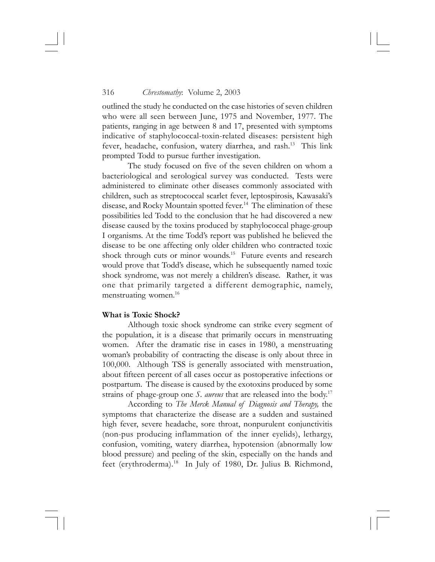outlined the study he conducted on the case histories of seven children who were all seen between June, 1975 and November, 1977. The patients, ranging in age between 8 and 17, presented with symptoms indicative of staphylococcal-toxin-related diseases: persistent high fever, headache, confusion, watery diarrhea, and rash.13 This link prompted Todd to pursue further investigation.

The study focused on five of the seven children on whom a bacteriological and serological survey was conducted. Tests were administered to eliminate other diseases commonly associated with children, such as streptococcal scarlet fever, leptospirosis, Kawasaki's disease, and Rocky Mountain spotted fever.14 The elimination of these possibilities led Todd to the conclusion that he had discovered a new disease caused by the toxins produced by staphylococcal phage-group I organisms. At the time Todd's report was published he believed the disease to be one affecting only older children who contracted toxic shock through cuts or minor wounds.<sup>15</sup> Future events and research would prove that Todd's disease, which he subsequently named toxic shock syndrome, was not merely a children's disease. Rather, it was one that primarily targeted a different demographic, namely, menstruating women.<sup>16</sup>

### **What is Toxic Shock?**

Although toxic shock syndrome can strike every segment of the population, it is a disease that primarily occurs in menstruating women. After the dramatic rise in cases in 1980, a menstruating woman's probability of contracting the disease is only about three in 100,000. Although TSS is generally associated with menstruation, about fifteen percent of all cases occur as postoperative infections or postpartum. The disease is caused by the exotoxins produced by some strains of phage-group one *S. aureus* that are released into the body.17

According to *The Merck Manual of Diagnosis and Therapy,* the symptoms that characterize the disease are a sudden and sustained high fever, severe headache, sore throat, nonpurulent conjunctivitis (non-pus producing inflammation of the inner eyelids), lethargy, confusion, vomiting, watery diarrhea, hypotension (abnormally low blood pressure) and peeling of the skin, especially on the hands and feet (erythroderma).<sup>18</sup> In July of 1980, Dr. Julius B. Richmond,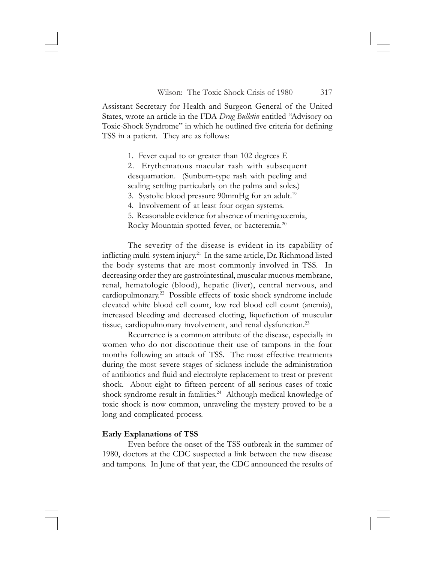Assistant Secretary for Health and Surgeon General of the United States, wrote an article in the FDA *Drug Bulletin* entitled "Advisory on Toxic-Shock Syndrome" in which he outlined five criteria for defining TSS in a patient. They are as follows:

1. Fever equal to or greater than 102 degrees F.

2. Erythematous macular rash with subsequent desquamation. (Sunburn-type rash with peeling and scaling settling particularly on the palms and soles.) 3. Systolic blood pressure 90mmHg for an adult.<sup>19</sup>

4. Involvement of at least four organ systems.

5. Reasonable evidence for absence of meningoccemia, Rocky Mountain spotted fever, or bacteremia.20

The severity of the disease is evident in its capability of inflicting multi-system injury.<sup>21</sup> In the same article, Dr. Richmond listed the body systems that are most commonly involved in TSS. In decreasing order they are gastrointestinal, muscular mucous membrane, renal, hematologic (blood), hepatic (liver), central nervous, and cardiopulmonary.22 Possible effects of toxic shock syndrome include elevated white blood cell count, low red blood cell count (anemia), increased bleeding and decreased clotting, liquefaction of muscular tissue, cardiopulmonary involvement, and renal dysfunction.<sup>23</sup>

Recurrence is a common attribute of the disease, especially in women who do not discontinue their use of tampons in the four months following an attack of TSS. The most effective treatments during the most severe stages of sickness include the administration of antibiotics and fluid and electrolyte replacement to treat or prevent shock. About eight to fifteen percent of all serious cases of toxic shock syndrome result in fatalities.<sup>24</sup> Although medical knowledge of toxic shock is now common, unraveling the mystery proved to be a long and complicated process.

### **Early Explanations of TSS**

Even before the onset of the TSS outbreak in the summer of 1980, doctors at the CDC suspected a link between the new disease and tampons. In June of that year, the CDC announced the results of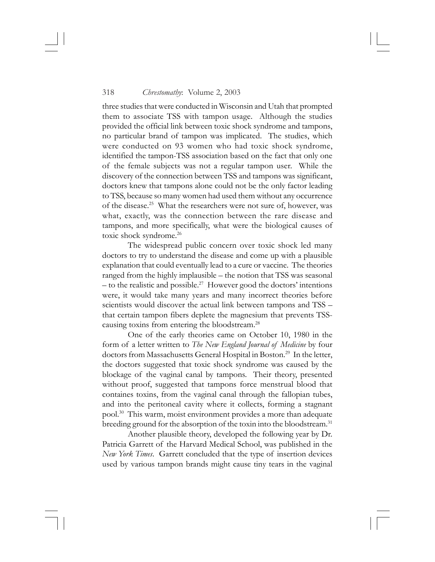three studies that were conducted in Wisconsin and Utah that prompted them to associate TSS with tampon usage. Although the studies provided the official link between toxic shock syndrome and tampons, no particular brand of tampon was implicated. The studies, which were conducted on 93 women who had toxic shock syndrome, identified the tampon-TSS association based on the fact that only one of the female subjects was not a regular tampon user. While the discovery of the connection between TSS and tampons was significant, doctors knew that tampons alone could not be the only factor leading to TSS, because so many women had used them without any occurrence of the disease.25 What the researchers were not sure of, however, was what, exactly, was the connection between the rare disease and tampons, and more specifically, what were the biological causes of toxic shock syndrome.26

The widespread public concern over toxic shock led many doctors to try to understand the disease and come up with a plausible explanation that could eventually lead to a cure or vaccine. The theories ranged from the highly implausible – the notion that TSS was seasonal – to the realistic and possible.<sup>27</sup> However good the doctors' intentions were, it would take many years and many incorrect theories before scientists would discover the actual link between tampons and TSS – that certain tampon fibers deplete the magnesium that prevents TSScausing toxins from entering the bloodstream.28

One of the early theories came on October 10, 1980 in the form of a letter written to *The New England Journal of Medicine* by four doctors from Massachusetts General Hospital in Boston.<sup>29</sup> In the letter, the doctors suggested that toxic shock syndrome was caused by the blockage of the vaginal canal by tampons. Their theory, presented without proof, suggested that tampons force menstrual blood that containes toxins, from the vaginal canal through the fallopian tubes, and into the peritoneal cavity where it collects, forming a stagnant pool.30 This warm, moist environment provides a more than adequate breeding ground for the absorption of the toxin into the bloodstream.<sup>31</sup>

Another plausible theory, developed the following year by Dr. Patricia Garrett of the Harvard Medical School, was published in the *New York Times*. Garrett concluded that the type of insertion devices used by various tampon brands might cause tiny tears in the vaginal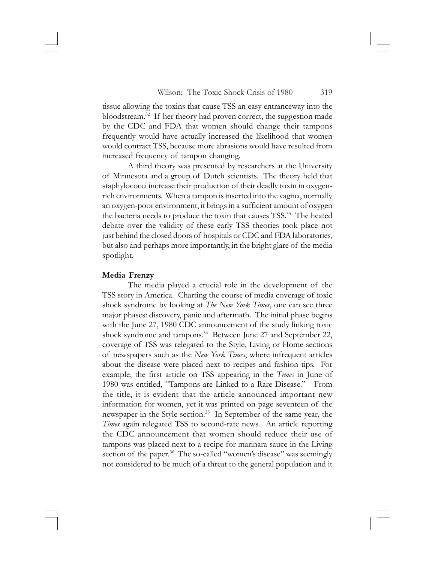tissue allowing the toxins that cause TSS an easy entranceway into the bloodstream.32 If her theory had proven correct, the suggestion made by the CDC and FDA that women should change their tampons frequently would have actually increased the likelihood that women would contract TSS, because more abrasions would have resulted from increased frequency of tampon changing.

A third theory was presented by researchers at the University of Minnesota and a group of Dutch scientists. The theory held that staphylococci increase their production of their deadly toxin in oxygenrich environments. When a tampon is inserted into the vagina, normally an oxygen-poor environment, it brings in a sufficient amount of oxygen the bacteria needs to produce the toxin that causes TSS.<sup>33</sup> The heated debate over the validity of these early TSS theories took place not just behind the closed doors of hospitals or CDC and FDA laboratories, but also and perhaps more importantly, in the bright glare of the media spotlight.

### **Media Frenzy**

The media played a crucial role in the development of the TSS story in America. Charting the course of media coverage of toxic shock syndrome by looking at *The New York Times*, one can see three major phases: discovery, panic and aftermath. The initial phase begins with the June 27, 1980 CDC announcement of the study linking toxic shock syndrome and tampons.<sup>34</sup> Between June 27 and September 22, coverage of TSS was relegated to the Style, Living or Home sections of newspapers such as the *New York Times*, where infrequent articles about the disease were placed next to recipes and fashion tips. For example, the first article on TSS appearing in the *Times* in June of 1980 was entitled, "Tampons are Linked to a Rare Disease." From the title, it is evident that the article announced important new information for women, yet it was printed on page seventeen of the newspaper in the Style section.<sup>35</sup> In September of the same year, the *Times* again relegated TSS to second-rate news. An article reporting the CDC announcement that women should reduce their use of tampons was placed next to a recipe for marinara sauce in the Living section of the paper.<sup>36</sup> The so-called "women's disease" was seemingly not considered to be much of a threat to the general population and it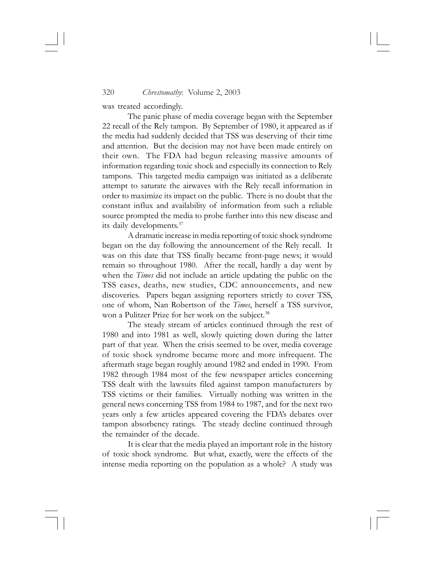was treated accordingly.

The panic phase of media coverage began with the September 22 recall of the Rely tampon. By September of 1980, it appeared as if the media had suddenly decided that TSS was deserving of their time and attention. But the decision may not have been made entirely on their own. The FDA had begun releasing massive amounts of information regarding toxic shock and especially its connection to Rely tampons. This targeted media campaign was initiated as a deliberate attempt to saturate the airwaves with the Rely recall information in order to maximize its impact on the public. There is no doubt that the constant influx and availability of information from such a reliable source prompted the media to probe further into this new disease and its daily developments.37

A dramatic increase in media reporting of toxic shock syndrome began on the day following the announcement of the Rely recall. It was on this date that TSS finally became front-page news; it would remain so throughout 1980. After the recall, hardly a day went by when the *Times* did not include an article updating the public on the TSS cases, deaths, new studies, CDC announcements, and new discoveries. Papers began assigning reporters strictly to cover TSS, one of whom, Nan Robertson of the *Times*, herself a TSS survivor, won a Pulitzer Prize for her work on the subject.<sup>38</sup>

The steady stream of articles continued through the rest of 1980 and into 1981 as well, slowly quieting down during the latter part of that year. When the crisis seemed to be over, media coverage of toxic shock syndrome became more and more infrequent. The aftermath stage began roughly around 1982 and ended in 1990. From 1982 through 1984 most of the few newspaper articles concerning TSS dealt with the lawsuits filed against tampon manufacturers by TSS victims or their families. Virtually nothing was written in the general news concerning TSS from 1984 to 1987, and for the next two years only a few articles appeared covering the FDA's debates over tampon absorbency ratings. The steady decline continued through the remainder of the decade.

It is clear that the media played an important role in the history of toxic shock syndrome. But what, exactly, were the effects of the intense media reporting on the population as a whole? A study was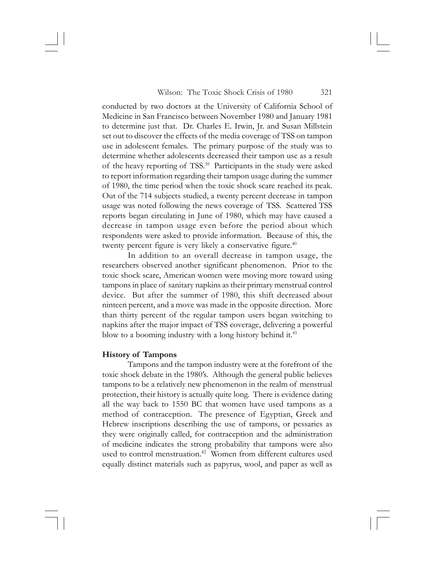conducted by two doctors at the University of California School of Medicine in San Francisco between November 1980 and January 1981 to determine just that. Dr. Charles E. Irwin, Jr. and Susan Millstein set out to discover the effects of the media coverage of TSS on tampon use in adolescent females. The primary purpose of the study was to determine whether adolescents decreased their tampon use as a result of the heavy reporting of TSS.<sup>39</sup> Participants in the study were asked to report information regarding their tampon usage during the summer of 1980, the time period when the toxic shock scare reached its peak. Out of the 714 subjects studied, a twenty percent decrease in tampon usage was noted following the news coverage of TSS. Scattered TSS reports began circulating in June of 1980, which may have caused a decrease in tampon usage even before the period about which respondents were asked to provide information. Because of this, the twenty percent figure is very likely a conservative figure.<sup>40</sup>

In addition to an overall decrease in tampon usage, the researchers observed another significant phenomenon. Prior to the toxic shock scare, American women were moving more toward using tampons in place of sanitary napkins as their primary menstrual control device. But after the summer of 1980, this shift decreased about ninteen percent, and a move was made in the opposite direction. More than thirty percent of the regular tampon users began switching to napkins after the major impact of TSS coverage, delivering a powerful blow to a booming industry with a long history behind it.<sup>41</sup>

### **History of Tampons**

Tampons and the tampon industry were at the forefront of the toxic shock debate in the 1980's. Although the general public believes tampons to be a relatively new phenomenon in the realm of menstrual protection, their history is actually quite long. There is evidence dating all the way back to 1550 BC that women have used tampons as a method of contraception. The presence of Egyptian, Greek and Hebrew inscriptions describing the use of tampons, or pessaries as they were originally called, for contraception and the administration of medicine indicates the strong probability that tampons were also used to control menstruation.<sup>42</sup> Women from different cultures used equally distinct materials such as papyrus, wool, and paper as well as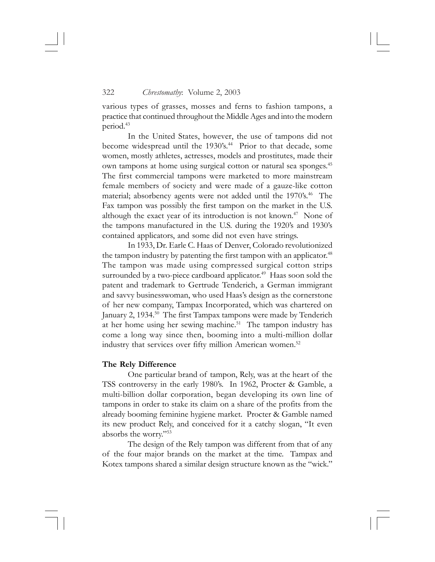various types of grasses, mosses and ferns to fashion tampons, a practice that continued throughout the Middle Ages and into the modern period.<sup>43</sup>

In the United States, however, the use of tampons did not become widespread until the 1930's.<sup>44</sup> Prior to that decade, some women, mostly athletes, actresses, models and prostitutes, made their own tampons at home using surgical cotton or natural sea sponges.45 The first commercial tampons were marketed to more mainstream female members of society and were made of a gauze-like cotton material; absorbency agents were not added until the 1970's.<sup>46</sup> The Fax tampon was possibly the first tampon on the market in the U.S. although the exact year of its introduction is not known.<sup>47</sup> None of the tampons manufactured in the U.S. during the 1920's and 1930's contained applicators, and some did not even have strings.

In 1933, Dr. Earle C. Haas of Denver, Colorado revolutionized the tampon industry by patenting the first tampon with an applicator.<sup>48</sup> The tampon was made using compressed surgical cotton strips surrounded by a two-piece cardboard applicator.<sup>49</sup> Haas soon sold the patent and trademark to Gertrude Tenderich, a German immigrant and savvy businesswoman, who used Haas's design as the cornerstone of her new company, Tampax Incorporated, which was chartered on January 2, 1934.<sup>50</sup> The first Tampax tampons were made by Tenderich at her home using her sewing machine.51 The tampon industry has come a long way since then, booming into a multi-million dollar industry that services over fifty million American women.<sup>52</sup>

### **The Rely Difference**

One particular brand of tampon, Rely, was at the heart of the TSS controversy in the early 1980's. In 1962, Procter & Gamble, a multi-billion dollar corporation, began developing its own line of tampons in order to stake its claim on a share of the profits from the already booming feminine hygiene market. Procter & Gamble named its new product Rely, and conceived for it a catchy slogan, "It even absorbs the worry."53

The design of the Rely tampon was different from that of any of the four major brands on the market at the time. Tampax and Kotex tampons shared a similar design structure known as the "wick."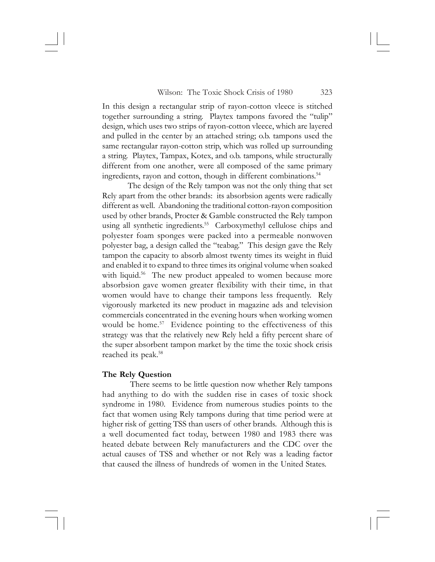In this design a rectangular strip of rayon-cotton vleece is stitched together surrounding a string. Playtex tampons favored the "tulip" design, which uses two strips of rayon-cotton vleece, which are layered and pulled in the center by an attached string; o.b. tampons used the same rectangular rayon-cotton strip, which was rolled up surrounding a string. Playtex, Tampax, Kotex, and o.b. tampons, while structurally different from one another, were all composed of the same primary ingredients, rayon and cotton, though in different combinations.54

The design of the Rely tampon was not the only thing that set Rely apart from the other brands: its absorbsion agents were radically different as well. Abandoning the traditional cotton-rayon composition used by other brands, Procter & Gamble constructed the Rely tampon using all synthetic ingredients.<sup>55</sup> Carboxymethyl cellulose chips and polyester foam sponges were packed into a permeable nonwoven polyester bag, a design called the "teabag." This design gave the Rely tampon the capacity to absorb almost twenty times its weight in fluid and enabled it to expand to three times its original volume when soaked with liquid.<sup>56</sup> The new product appealed to women because more absorbsion gave women greater flexibility with their time, in that women would have to change their tampons less frequently. Rely vigorously marketed its new product in magazine ads and television commercials concentrated in the evening hours when working women would be home.<sup>57</sup> Evidence pointing to the effectiveness of this strategy was that the relatively new Rely held a fifty percent share of the super absorbent tampon market by the time the toxic shock crisis reached its peak.<sup>58</sup>

### **The Rely Question**

 There seems to be little question now whether Rely tampons had anything to do with the sudden rise in cases of toxic shock syndrome in 1980. Evidence from numerous studies points to the fact that women using Rely tampons during that time period were at higher risk of getting TSS than users of other brands. Although this is a well documented fact today, between 1980 and 1983 there was heated debate between Rely manufacturers and the CDC over the actual causes of TSS and whether or not Rely was a leading factor that caused the illness of hundreds of women in the United States.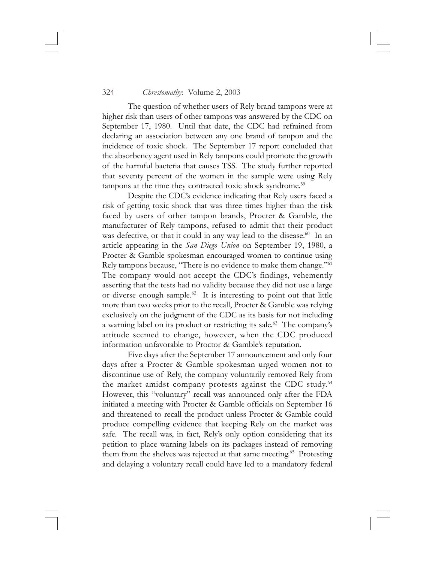The question of whether users of Rely brand tampons were at higher risk than users of other tampons was answered by the CDC on September 17, 1980. Until that date, the CDC had refrained from declaring an association between any one brand of tampon and the incidence of toxic shock. The September 17 report concluded that the absorbency agent used in Rely tampons could promote the growth of the harmful bacteria that causes TSS. The study further reported that seventy percent of the women in the sample were using Rely tampons at the time they contracted toxic shock syndrome.<sup>59</sup>

Despite the CDC's evidence indicating that Rely users faced a risk of getting toxic shock that was three times higher than the risk faced by users of other tampon brands, Procter & Gamble, the manufacturer of Rely tampons, refused to admit that their product was defective, or that it could in any way lead to the disease.<sup>60</sup> In an article appearing in the *San Diego Union* on September 19, 1980, a Procter & Gamble spokesman encouraged women to continue using Rely tampons because, "There is no evidence to make them change."61 The company would not accept the CDC's findings, vehemently asserting that the tests had no validity because they did not use a large or diverse enough sample.<sup>62</sup> It is interesting to point out that little more than two weeks prior to the recall, Procter & Gamble was relying exclusively on the judgment of the CDC as its basis for not including a warning label on its product or restricting its sale.<sup>63</sup> The company's attitude seemed to change, however, when the CDC produced information unfavorable to Proctor & Gamble's reputation.

Five days after the September 17 announcement and only four days after a Procter & Gamble spokesman urged women not to discontinue use of Rely, the company voluntarily removed Rely from the market amidst company protests against the CDC study.<sup>64</sup> However, this "voluntary" recall was announced only after the FDA initiated a meeting with Procter & Gamble officials on September 16 and threatened to recall the product unless Procter & Gamble could produce compelling evidence that keeping Rely on the market was safe. The recall was, in fact, Rely's only option considering that its petition to place warning labels on its packages instead of removing them from the shelves was rejected at that same meeting.<sup>65</sup> Protesting and delaying a voluntary recall could have led to a mandatory federal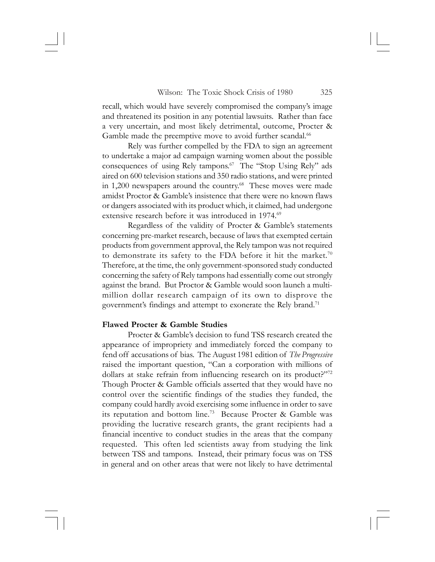recall, which would have severely compromised the company's image and threatened its position in any potential lawsuits. Rather than face a very uncertain, and most likely detrimental, outcome, Procter & Gamble made the preemptive move to avoid further scandal.<sup>66</sup>

Rely was further compelled by the FDA to sign an agreement to undertake a major ad campaign warning women about the possible consequences of using Rely tampons.<sup>67</sup> The "Stop Using Rely" ads aired on 600 television stations and 350 radio stations, and were printed in 1,200 newspapers around the country.<sup>68</sup> These moves were made amidst Proctor & Gamble's insistence that there were no known flaws or dangers associated with its product which, it claimed, had undergone extensive research before it was introduced in 1974.<sup>69</sup>

Regardless of the validity of Procter & Gamble's statements concerning pre-market research, because of laws that exempted certain products from government approval, the Rely tampon was not required to demonstrate its safety to the FDA before it hit the market.<sup>70</sup> Therefore, at the time, the only government-sponsored study conducted concerning the safety of Rely tampons had essentially come out strongly against the brand. But Proctor & Gamble would soon launch a multimillion dollar research campaign of its own to disprove the government's findings and attempt to exonerate the Rely brand.<sup>71</sup>

## **Flawed Procter & Gamble Studies**

Procter & Gamble's decision to fund TSS research created the appearance of impropriety and immediately forced the company to fend off accusations of bias. The August 1981 edition of *The Progressive* raised the important question, "Can a corporation with millions of dollars at stake refrain from influencing research on its product?"<sup>72</sup> Though Procter & Gamble officials asserted that they would have no control over the scientific findings of the studies they funded, the company could hardly avoid exercising some influence in order to save its reputation and bottom line.73 Because Procter & Gamble was providing the lucrative research grants, the grant recipients had a financial incentive to conduct studies in the areas that the company requested. This often led scientists away from studying the link between TSS and tampons. Instead, their primary focus was on TSS in general and on other areas that were not likely to have detrimental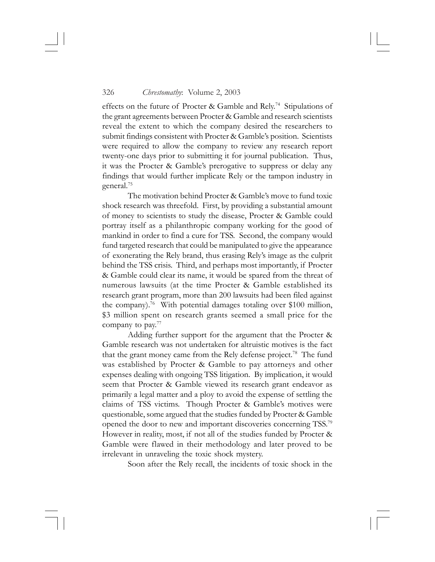effects on the future of Procter & Gamble and Rely.<sup>74</sup> Stipulations of the grant agreements between Procter & Gamble and research scientists reveal the extent to which the company desired the researchers to submit findings consistent with Procter & Gamble's position. Scientists were required to allow the company to review any research report twenty-one days prior to submitting it for journal publication. Thus, it was the Procter & Gamble's prerogative to suppress or delay any findings that would further implicate Rely or the tampon industry in general.75

The motivation behind Procter & Gamble's move to fund toxic shock research was threefold. First, by providing a substantial amount of money to scientists to study the disease, Procter & Gamble could portray itself as a philanthropic company working for the good of mankind in order to find a cure for TSS. Second, the company would fund targeted research that could be manipulated to give the appearance of exonerating the Rely brand, thus erasing Rely's image as the culprit behind the TSS crisis. Third, and perhaps most importantly, if Procter & Gamble could clear its name, it would be spared from the threat of numerous lawsuits (at the time Procter & Gamble established its research grant program, more than 200 lawsuits had been filed against the company).76 With potential damages totaling over \$100 million, \$3 million spent on research grants seemed a small price for the company to pay. $77$ 

Adding further support for the argument that the Procter & Gamble research was not undertaken for altruistic motives is the fact that the grant money came from the Rely defense project.<sup>78</sup> The fund was established by Procter & Gamble to pay attorneys and other expenses dealing with ongoing TSS litigation. By implication, it would seem that Procter & Gamble viewed its research grant endeavor as primarily a legal matter and a ploy to avoid the expense of settling the claims of TSS victims. Though Procter & Gamble's motives were questionable, some argued that the studies funded by Procter & Gamble opened the door to new and important discoveries concerning TSS.79 However in reality, most, if not all of the studies funded by Procter & Gamble were flawed in their methodology and later proved to be irrelevant in unraveling the toxic shock mystery.

Soon after the Rely recall, the incidents of toxic shock in the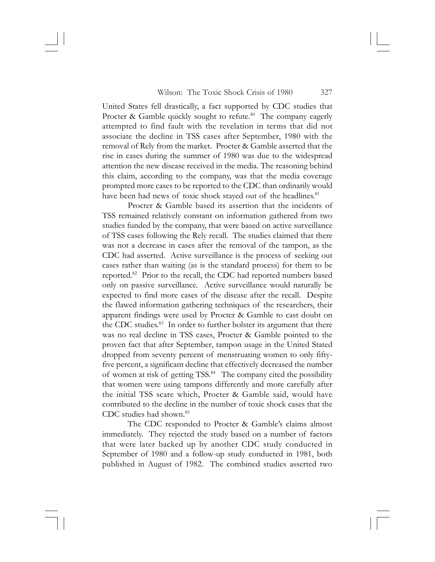United States fell drastically, a fact supported by CDC studies that Procter & Gamble quickly sought to refute.<sup>80</sup> The company eagerly attempted to find fault with the revelation in terms that did not associate the decline in TSS cases after September, 1980 with the removal of Rely from the market. Procter & Gamble asserted that the rise in cases during the summer of 1980 was due to the widespread attention the new disease received in the media. The reasoning behind this claim, according to the company, was that the media coverage prompted more cases to be reported to the CDC than ordinarily would have been had news of toxic shock stayed out of the headlines.<sup>81</sup>

Procter & Gamble based its assertion that the incidents of TSS remained relatively constant on information gathered from two studies funded by the company, that were based on active surveillance of TSS cases following the Rely recall. The studies claimed that there was not a decrease in cases after the removal of the tampon, as the CDC had asserted. Active surveillance is the process of seeking out cases rather than waiting (as is the standard process) for them to be reported.<sup>82</sup> Prior to the recall, the CDC had reported numbers based only on passive surveillance. Active surveillance would naturally be expected to find more cases of the disease after the recall. Despite the flawed information gathering techniques of the researchers, their apparent findings were used by Procter & Gamble to cast doubt on the CDC studies.<sup>83</sup> In order to further bolster its argument that there was no real decline in TSS cases, Procter & Gamble pointed to the proven fact that after September, tampon usage in the United Stated dropped from seventy percent of menstruating women to only fiftyfive percent, a significant decline that effectively decreased the number of women at risk of getting TSS.<sup>84</sup> The company cited the possibility that women were using tampons differently and more carefully after the initial TSS scare which, Procter & Gamble said, would have contributed to the decline in the number of toxic shock cases that the CDC studies had shown.85

The CDC responded to Procter & Gamble's claims almost immediately. They rejected the study based on a number of factors that were later backed up by another CDC study conducted in September of 1980 and a follow-up study conducted in 1981, both published in August of 1982. The combined studies asserted two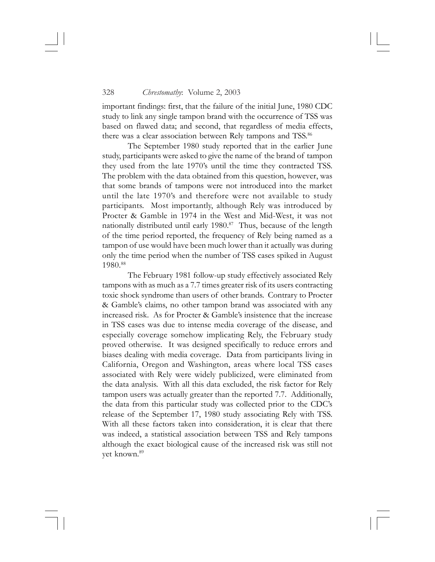important findings: first, that the failure of the initial June, 1980 CDC study to link any single tampon brand with the occurrence of TSS was based on flawed data; and second, that regardless of media effects, there was a clear association between Rely tampons and TSS.<sup>86</sup>

The September 1980 study reported that in the earlier June study, participants were asked to give the name of the brand of tampon they used from the late 1970's until the time they contracted TSS. The problem with the data obtained from this question, however, was that some brands of tampons were not introduced into the market until the late 1970's and therefore were not available to study participants. Most importantly, although Rely was introduced by Procter & Gamble in 1974 in the West and Mid-West, it was not nationally distributed until early  $1980$ .<sup>87</sup> Thus, because of the length of the time period reported, the frequency of Rely being named as a tampon of use would have been much lower than it actually was during only the time period when the number of TSS cases spiked in August 1980.88

The February 1981 follow-up study effectively associated Rely tampons with as much as a 7.7 times greater risk of its users contracting toxic shock syndrome than users of other brands. Contrary to Procter & Gamble's claims, no other tampon brand was associated with any increased risk. As for Procter & Gamble's insistence that the increase in TSS cases was due to intense media coverage of the disease, and especially coverage somehow implicating Rely, the February study proved otherwise. It was designed specifically to reduce errors and biases dealing with media coverage. Data from participants living in California, Oregon and Washington, areas where local TSS cases associated with Rely were widely publicized, were eliminated from the data analysis. With all this data excluded, the risk factor for Rely tampon users was actually greater than the reported 7.7. Additionally, the data from this particular study was collected prior to the CDC's release of the September 17, 1980 study associating Rely with TSS. With all these factors taken into consideration, it is clear that there was indeed, a statistical association between TSS and Rely tampons although the exact biological cause of the increased risk was still not yet known.<sup>89</sup>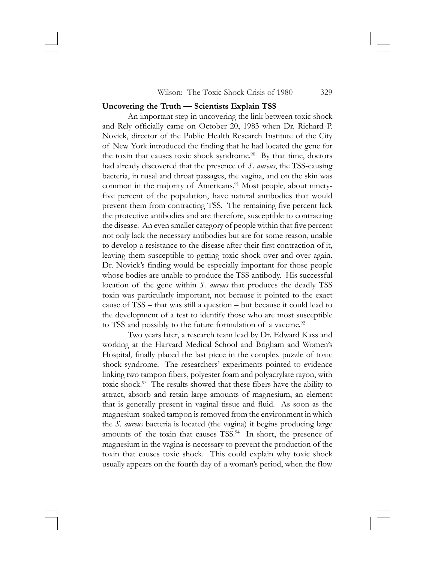#### **Uncovering the Truth — Scientists Explain TSS**

An important step in uncovering the link between toxic shock and Rely officially came on October 20, 1983 when Dr. Richard P. Novick, director of the Public Health Research Institute of the City of New York introduced the finding that he had located the gene for the toxin that causes toxic shock syndrome. $90\,$  By that time, doctors had already discovered that the presence of *S. aureus*, the TSS-causing bacteria, in nasal and throat passages, the vagina, and on the skin was common in the majority of Americans.<sup>91</sup> Most people, about ninetyfive percent of the population, have natural antibodies that would prevent them from contracting TSS. The remaining five percent lack the protective antibodies and are therefore, susceptible to contracting the disease. An even smaller category of people within that five percent not only lack the necessary antibodies but are for some reason, unable to develop a resistance to the disease after their first contraction of it, leaving them susceptible to getting toxic shock over and over again. Dr. Novick's finding would be especially important for those people whose bodies are unable to produce the TSS antibody. His successful location of the gene within *S. aureus* that produces the deadly TSS toxin was particularly important, not because it pointed to the exact cause of TSS – that was still a question – but because it could lead to the development of a test to identify those who are most susceptible to TSS and possibly to the future formulation of a vaccine.<sup>92</sup>

Two years later, a research team lead by Dr. Edward Kass and working at the Harvard Medical School and Brigham and Women's Hospital, finally placed the last piece in the complex puzzle of toxic shock syndrome. The researchers' experiments pointed to evidence linking two tampon fibers, polyester foam and polyacrylate rayon, with toxic shock.93 The results showed that these fibers have the ability to attract, absorb and retain large amounts of magnesium, an element that is generally present in vaginal tissue and fluid. As soon as the magnesium-soaked tampon is removed from the environment in which the *S. aureus* bacteria is located (the vagina) it begins producing large amounts of the toxin that causes TSS.<sup>94</sup> In short, the presence of magnesium in the vagina is necessary to prevent the production of the toxin that causes toxic shock. This could explain why toxic shock usually appears on the fourth day of a woman's period, when the flow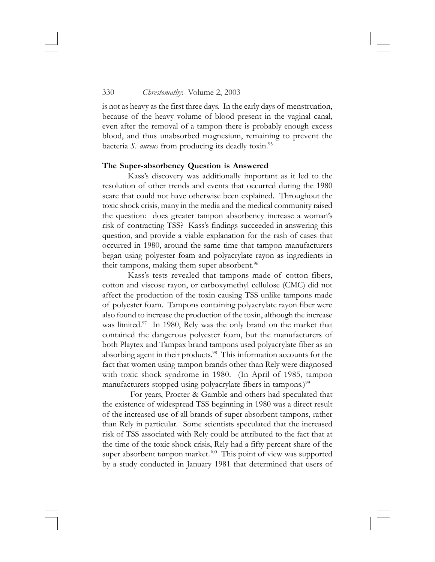is not as heavy as the first three days. In the early days of menstruation, because of the heavy volume of blood present in the vaginal canal, even after the removal of a tampon there is probably enough excess blood, and thus unabsorbed magnesium, remaining to prevent the bacteria *S. aureus* from producing its deadly toxin.95

### **The Super-absorbency Question is Answered**

Kass's discovery was additionally important as it led to the resolution of other trends and events that occurred during the 1980 scare that could not have otherwise been explained. Throughout the toxic shock crisis, many in the media and the medical community raised the question: does greater tampon absorbency increase a woman's risk of contracting TSS? Kass's findings succeeded in answering this question, and provide a viable explanation for the rash of cases that occurred in 1980, around the same time that tampon manufacturers began using polyester foam and polyacrylate rayon as ingredients in their tampons, making them super absorbent.<sup>96</sup>

Kass's tests revealed that tampons made of cotton fibers, cotton and viscose rayon, or carboxymethyl cellulose (CMC) did not affect the production of the toxin causing TSS unlike tampons made of polyester foam. Tampons containing polyacrylate rayon fiber were also found to increase the production of the toxin, although the increase was limited.<sup>97</sup> In 1980, Rely was the only brand on the market that contained the dangerous polyester foam, but the manufacturers of both Playtex and Tampax brand tampons used polyacrylate fiber as an absorbing agent in their products.<sup>98</sup> This information accounts for the fact that women using tampon brands other than Rely were diagnosed with toxic shock syndrome in 1980. (In April of 1985, tampon manufacturers stopped using polyacrylate fibers in tampons.)<sup>99</sup>

 For years, Procter & Gamble and others had speculated that the existence of widespread TSS beginning in 1980 was a direct result of the increased use of all brands of super absorbent tampons, rather than Rely in particular. Some scientists speculated that the increased risk of TSS associated with Rely could be attributed to the fact that at the time of the toxic shock crisis, Rely had a fifty percent share of the super absorbent tampon market.<sup>100</sup> This point of view was supported by a study conducted in January 1981 that determined that users of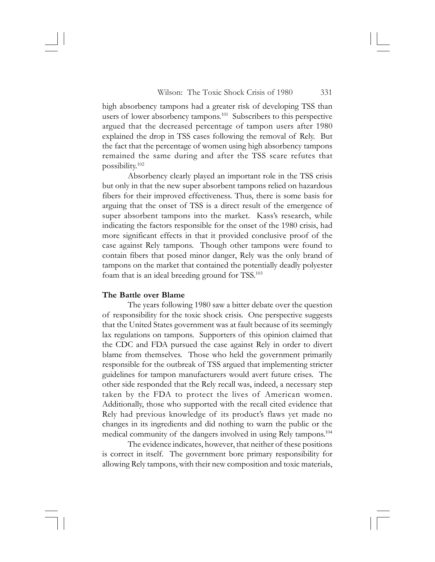high absorbency tampons had a greater risk of developing TSS than users of lower absorbency tampons.<sup>101</sup> Subscribers to this perspective argued that the decreased percentage of tampon users after 1980 explained the drop in TSS cases following the removal of Rely. But the fact that the percentage of women using high absorbency tampons remained the same during and after the TSS scare refutes that possibility.102

Absorbency clearly played an important role in the TSS crisis but only in that the new super absorbent tampons relied on hazardous fibers for their improved effectiveness. Thus, there is some basis for arguing that the onset of TSS is a direct result of the emergence of super absorbent tampons into the market. Kass's research, while indicating the factors responsible for the onset of the 1980 crisis, had more significant effects in that it provided conclusive proof of the case against Rely tampons. Though other tampons were found to contain fibers that posed minor danger, Rely was the only brand of tampons on the market that contained the potentially deadly polyester foam that is an ideal breeding ground for TSS.103

### **The Battle over Blame**

The years following 1980 saw a bitter debate over the question of responsibility for the toxic shock crisis. One perspective suggests that the United States government was at fault because of its seemingly lax regulations on tampons. Supporters of this opinion claimed that the CDC and FDA pursued the case against Rely in order to divert blame from themselves. Those who held the government primarily responsible for the outbreak of TSS argued that implementing stricter guidelines for tampon manufacturers would avert future crises. The other side responded that the Rely recall was, indeed, a necessary step taken by the FDA to protect the lives of American women. Additionally, those who supported with the recall cited evidence that Rely had previous knowledge of its product's flaws yet made no changes in its ingredients and did nothing to warn the public or the medical community of the dangers involved in using Rely tampons.<sup>104</sup>

The evidence indicates, however, that neither of these positions is correct in itself. The government bore primary responsibility for allowing Rely tampons, with their new composition and toxic materials,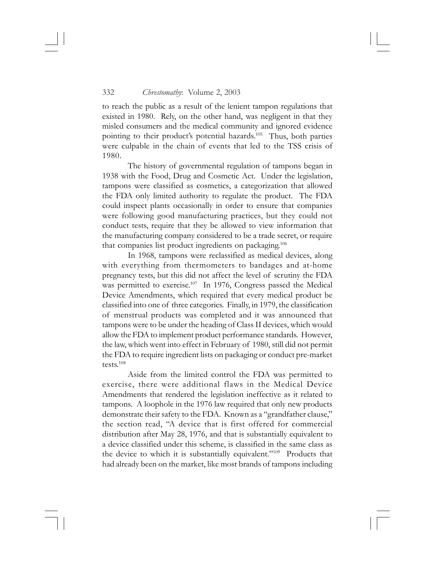to reach the public as a result of the lenient tampon regulations that existed in 1980. Rely, on the other hand, was negligent in that they misled consumers and the medical community and ignored evidence pointing to their product's potential hazards.<sup>105</sup> Thus, both parties were culpable in the chain of events that led to the TSS crisis of 1980.

The history of governmental regulation of tampons began in 1938 with the Food, Drug and Cosmetic Act. Under the legislation, tampons were classified as cosmetics, a categorization that allowed the FDA only limited authority to regulate the product. The FDA could inspect plants occasionally in order to ensure that companies were following good manufacturing practices, but they could not conduct tests, require that they be allowed to view information that the manufacturing company considered to be a trade secret, or require that companies list product ingredients on packaging.<sup>106</sup>

In 1968, tampons were reclassified as medical devices, along with everything from thermometers to bandages and at-home pregnancy tests, but this did not affect the level of scrutiny the FDA was permitted to exercise.<sup>107</sup> In 1976, Congress passed the Medical Device Amendments, which required that every medical product be classified into one of three categories. Finally, in 1979, the classification of menstrual products was completed and it was announced that tampons were to be under the heading of Class II devices, which would allow the FDA to implement product performance standards. However, the law, which went into effect in February of 1980, still did not permit the FDA to require ingredient lists on packaging or conduct pre-market tests.108

Aside from the limited control the FDA was permitted to exercise, there were additional flaws in the Medical Device Amendments that rendered the legislation ineffective as it related to tampons. A loophole in the 1976 law required that only new products demonstrate their safety to the FDA. Known as a "grandfather clause," the section read, "A device that is first offered for commercial distribution after May 28, 1976, and that is substantially equivalent to a device classified under this scheme, is classified in the same class as the device to which it is substantially equivalent."<sup>109</sup> Products that had already been on the market, like most brands of tampons including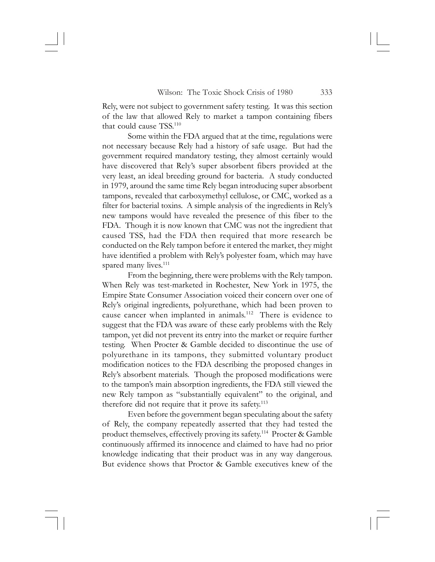Rely, were not subject to government safety testing. It was this section of the law that allowed Rely to market a tampon containing fibers that could cause TSS.110

Some within the FDA argued that at the time, regulations were not necessary because Rely had a history of safe usage. But had the government required mandatory testing, they almost certainly would have discovered that Rely's super absorbent fibers provided at the very least, an ideal breeding ground for bacteria. A study conducted in 1979, around the same time Rely began introducing super absorbent tampons, revealed that carboxymethyl cellulose, or CMC, worked as a filter for bacterial toxins. A simple analysis of the ingredients in Rely's new tampons would have revealed the presence of this fiber to the FDA. Though it is now known that CMC was not the ingredient that caused TSS, had the FDA then required that more research be conducted on the Rely tampon before it entered the market, they might have identified a problem with Rely's polyester foam, which may have spared many lives.<sup>111</sup>

From the beginning, there were problems with the Rely tampon. When Rely was test-marketed in Rochester, New York in 1975, the Empire State Consumer Association voiced their concern over one of Rely's original ingredients, polyurethane, which had been proven to cause cancer when implanted in animals.<sup>112</sup> There is evidence to suggest that the FDA was aware of these early problems with the Rely tampon, yet did not prevent its entry into the market or require further testing. When Procter & Gamble decided to discontinue the use of polyurethane in its tampons, they submitted voluntary product modification notices to the FDA describing the proposed changes in Rely's absorbent materials. Though the proposed modifications were to the tampon's main absorption ingredients, the FDA still viewed the new Rely tampon as "substantially equivalent" to the original, and therefore did not require that it prove its safety.<sup>113</sup>

Even before the government began speculating about the safety of Rely, the company repeatedly asserted that they had tested the product themselves, effectively proving its safety.114 Procter & Gamble continuously affirmed its innocence and claimed to have had no prior knowledge indicating that their product was in any way dangerous. But evidence shows that Proctor & Gamble executives knew of the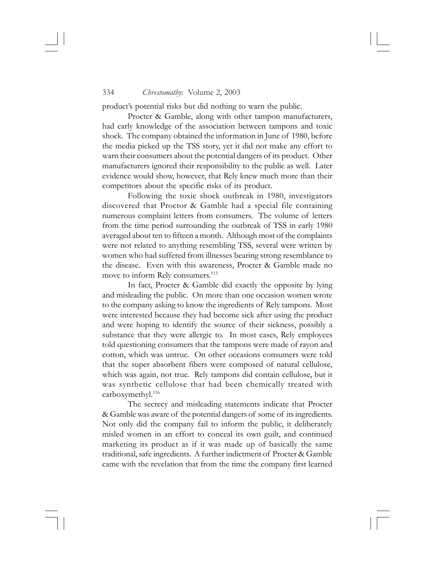product's potential risks but did nothing to warn the public.

Procter & Gamble, along with other tampon manufacturers, had early knowledge of the association between tampons and toxic shock. The company obtained the information in June of 1980, before the media picked up the TSS story, yet it did not make any effort to warn their consumers about the potential dangers of its product. Other manufacturers ignored their responsibility to the public as well. Later evidence would show, however, that Rely knew much more than their competitors about the specific risks of its product.

Following the toxic shock outbreak in 1980, investigators discovered that Proctor & Gamble had a special file containing numerous complaint letters from consumers. The volume of letters from the time period surrounding the outbreak of TSS in early 1980 averaged about ten to fifteen a month. Although most of the complaints were not related to anything resembling TSS, several were written by women who had suffered from illnesses bearing strong resemblance to the disease. Even with this awareness, Procter & Gamble made no move to inform Rely consumers.<sup>115</sup>

In fact, Procter & Gamble did exactly the opposite by lying and misleading the public. On more than one occasion women wrote to the company asking to know the ingredients of Rely tampons. Most were interested because they had become sick after using the product and were hoping to identify the source of their sickness, possibly a substance that they were allergic to. In most cases, Rely employees told questioning consumers that the tampons were made of rayon and cotton, which was untrue. On other occasions consumers were told that the super absorbent fibers were composed of natural cellulose, which was again, not true. Rely tampons did contain cellulose, but it was synthetic cellulose that had been chemically treated with carboxymethyl.116

The secrecy and misleading statements indicate that Procter & Gamble was aware of the potential dangers of some of its ingredients. Not only did the company fail to inform the public, it deliberately misled women in an effort to conceal its own guilt, and continued marketing its product as if it was made up of basically the same traditional, safe ingredients. A further indictment of Procter & Gamble came with the revelation that from the time the company first learned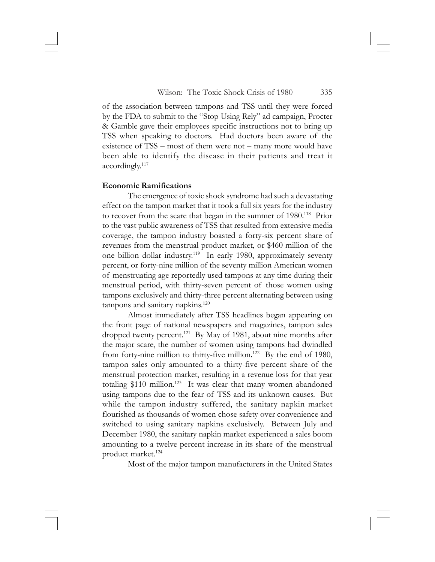of the association between tampons and TSS until they were forced by the FDA to submit to the "Stop Using Rely" ad campaign, Procter & Gamble gave their employees specific instructions not to bring up TSS when speaking to doctors. Had doctors been aware of the existence of TSS – most of them were not – many more would have been able to identify the disease in their patients and treat it accordingly.<sup>117</sup>

## **Economic Ramifications**

The emergence of toxic shock syndrome had such a devastating effect on the tampon market that it took a full six years for the industry to recover from the scare that began in the summer of 1980.<sup>118</sup> Prior to the vast public awareness of TSS that resulted from extensive media coverage, the tampon industry boasted a forty-six percent share of revenues from the menstrual product market, or \$460 million of the one billion dollar industry.<sup>119</sup> In early 1980, approximately seventy percent, or forty-nine million of the seventy million American women of menstruating age reportedly used tampons at any time during their menstrual period, with thirty-seven percent of those women using tampons exclusively and thirty-three percent alternating between using tampons and sanitary napkins. $120$ 

Almost immediately after TSS headlines began appearing on the front page of national newspapers and magazines, tampon sales dropped twenty percent.<sup>121</sup> By May of 1981, about nine months after the major scare, the number of women using tampons had dwindled from forty-nine million to thirty-five million.<sup>122</sup> By the end of 1980, tampon sales only amounted to a thirty-five percent share of the menstrual protection market, resulting in a revenue loss for that year totaling  $$110$  million.<sup>123</sup> It was clear that many women abandoned using tampons due to the fear of TSS and its unknown causes. But while the tampon industry suffered, the sanitary napkin market flourished as thousands of women chose safety over convenience and switched to using sanitary napkins exclusively. Between July and December 1980, the sanitary napkin market experienced a sales boom amounting to a twelve percent increase in its share of the menstrual product market.124

Most of the major tampon manufacturers in the United States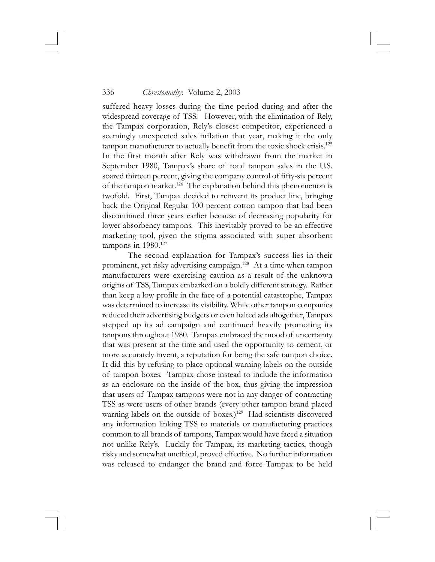suffered heavy losses during the time period during and after the widespread coverage of TSS. However, with the elimination of Rely, the Tampax corporation, Rely's closest competitor, experienced a seemingly unexpected sales inflation that year, making it the only tampon manufacturer to actually benefit from the toxic shock crisis.125 In the first month after Rely was withdrawn from the market in September 1980, Tampax's share of total tampon sales in the U.S. soared thirteen percent, giving the company control of fifty-six percent of the tampon market.<sup>126</sup> The explanation behind this phenomenon is twofold. First, Tampax decided to reinvent its product line, bringing back the Original Regular 100 percent cotton tampon that had been discontinued three years earlier because of decreasing popularity for lower absorbency tampons. This inevitably proved to be an effective marketing tool, given the stigma associated with super absorbent tampons in 1980.<sup>127</sup>

The second explanation for Tampax's success lies in their prominent, yet risky advertising campaign.128 At a time when tampon manufacturers were exercising caution as a result of the unknown origins of TSS, Tampax embarked on a boldly different strategy. Rather than keep a low profile in the face of a potential catastrophe, Tampax was determined to increase its visibility. While other tampon companies reduced their advertising budgets or even halted ads altogether, Tampax stepped up its ad campaign and continued heavily promoting its tampons throughout 1980. Tampax embraced the mood of uncertainty that was present at the time and used the opportunity to cement, or more accurately invent, a reputation for being the safe tampon choice. It did this by refusing to place optional warning labels on the outside of tampon boxes. Tampax chose instead to include the information as an enclosure on the inside of the box, thus giving the impression that users of Tampax tampons were not in any danger of contracting TSS as were users of other brands (every other tampon brand placed warning labels on the outside of boxes.)<sup>129</sup> Had scientists discovered any information linking TSS to materials or manufacturing practices common to all brands of tampons, Tampax would have faced a situation not unlike Rely's. Luckily for Tampax, its marketing tactics, though risky and somewhat unethical, proved effective. No further information was released to endanger the brand and force Tampax to be held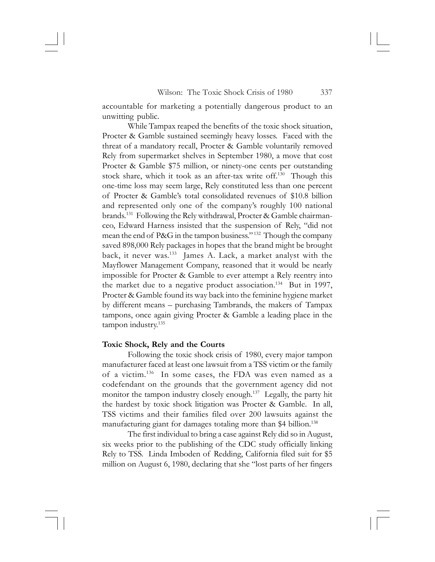accountable for marketing a potentially dangerous product to an unwitting public.

While Tampax reaped the benefits of the toxic shock situation, Procter & Gamble sustained seemingly heavy losses. Faced with the threat of a mandatory recall, Procter & Gamble voluntarily removed Rely from supermarket shelves in September 1980, a move that cost Procter & Gamble \$75 million, or ninety-one cents per outstanding stock share, which it took as an after-tax write off.130 Though this one-time loss may seem large, Rely constituted less than one percent of Procter & Gamble's total consolidated revenues of \$10.8 billion and represented only one of the company's roughly 100 national brands.<sup>131</sup> Following the Rely withdrawal, Procter & Gamble chairmanceo, Edward Harness insisted that the suspension of Rely, "did not mean the end of P&G in the tampon business." 132 Though the company saved 898,000 Rely packages in hopes that the brand might be brought back, it never was.<sup>133</sup> James A. Lack, a market analyst with the Mayflower Management Company, reasoned that it would be nearly impossible for Procter & Gamble to ever attempt a Rely reentry into the market due to a negative product association.<sup>134</sup> But in 1997, Procter & Gamble found its way back into the feminine hygiene market by different means – purchasing Tambrands, the makers of Tampax tampons, once again giving Procter & Gamble a leading place in the tampon industry.135

### **Toxic Shock, Rely and the Courts**

Following the toxic shock crisis of 1980, every major tampon manufacturer faced at least one lawsuit from a TSS victim or the family of a victim.136 In some cases, the FDA was even named as a codefendant on the grounds that the government agency did not monitor the tampon industry closely enough.137 Legally, the party hit the hardest by toxic shock litigation was Procter & Gamble. In all, TSS victims and their families filed over 200 lawsuits against the manufacturing giant for damages totaling more than \$4 billion.<sup>138</sup>

The first individual to bring a case against Rely did so in August, six weeks prior to the publishing of the CDC study officially linking Rely to TSS. Linda Imboden of Redding, California filed suit for \$5 million on August 6, 1980, declaring that she "lost parts of her fingers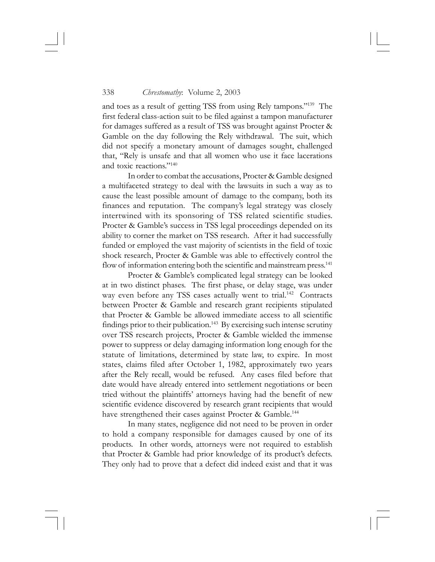and toes as a result of getting TSS from using Rely tampons."139 The first federal class-action suit to be filed against a tampon manufacturer for damages suffered as a result of TSS was brought against Procter & Gamble on the day following the Rely withdrawal. The suit, which did not specify a monetary amount of damages sought, challenged that, "Rely is unsafe and that all women who use it face lacerations and toxic reactions."140

In order to combat the accusations, Procter & Gamble designed a multifaceted strategy to deal with the lawsuits in such a way as to cause the least possible amount of damage to the company, both its finances and reputation. The company's legal strategy was closely intertwined with its sponsoring of TSS related scientific studies. Procter & Gamble's success in TSS legal proceedings depended on its ability to corner the market on TSS research. After it had successfully funded or employed the vast majority of scientists in the field of toxic shock research, Procter & Gamble was able to effectively control the flow of information entering both the scientific and mainstream press.<sup>141</sup>

Procter & Gamble's complicated legal strategy can be looked at in two distinct phases. The first phase, or delay stage, was under way even before any TSS cases actually went to trial.<sup>142</sup> Contracts between Procter & Gamble and research grant recipients stipulated that Procter & Gamble be allowed immediate access to all scientific findings prior to their publication.<sup>143</sup> By exercising such intense scrutiny over TSS research projects, Procter & Gamble wielded the immense power to suppress or delay damaging information long enough for the statute of limitations, determined by state law, to expire. In most states, claims filed after October 1, 1982, approximately two years after the Rely recall, would be refused. Any cases filed before that date would have already entered into settlement negotiations or been tried without the plaintiffs' attorneys having had the benefit of new scientific evidence discovered by research grant recipients that would have strengthened their cases against Procter & Gamble.<sup>144</sup>

In many states, negligence did not need to be proven in order to hold a company responsible for damages caused by one of its products. In other words, attorneys were not required to establish that Procter & Gamble had prior knowledge of its product's defects. They only had to prove that a defect did indeed exist and that it was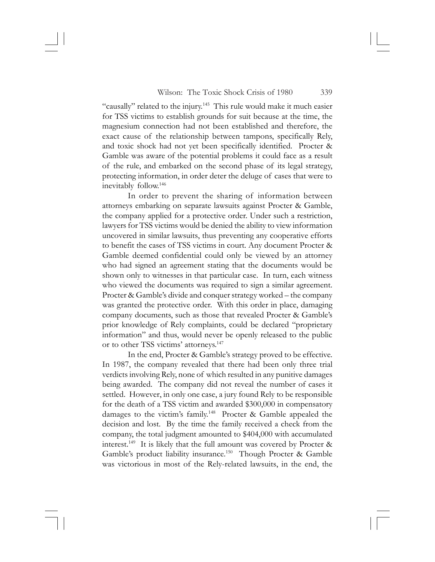"causally" related to the injury.<sup>145</sup> This rule would make it much easier for TSS victims to establish grounds for suit because at the time, the magnesium connection had not been established and therefore, the exact cause of the relationship between tampons, specifically Rely, and toxic shock had not yet been specifically identified. Procter & Gamble was aware of the potential problems it could face as a result of the rule, and embarked on the second phase of its legal strategy, protecting information, in order deter the deluge of cases that were to inevitably follow.146

In order to prevent the sharing of information between attorneys embarking on separate lawsuits against Procter & Gamble, the company applied for a protective order. Under such a restriction, lawyers for TSS victims would be denied the ability to view information uncovered in similar lawsuits, thus preventing any cooperative efforts to benefit the cases of TSS victims in court. Any document Procter & Gamble deemed confidential could only be viewed by an attorney who had signed an agreement stating that the documents would be shown only to witnesses in that particular case. In turn, each witness who viewed the documents was required to sign a similar agreement. Procter & Gamble's divide and conquer strategy worked – the company was granted the protective order. With this order in place, damaging company documents, such as those that revealed Procter & Gamble's prior knowledge of Rely complaints, could be declared "proprietary information" and thus, would never be openly released to the public or to other TSS victims' attorneys.<sup>147</sup>

In the end, Procter & Gamble's strategy proved to be effective. In 1987, the company revealed that there had been only three trial verdicts involving Rely, none of which resulted in any punitive damages being awarded. The company did not reveal the number of cases it settled. However, in only one case, a jury found Rely to be responsible for the death of a TSS victim and awarded \$300,000 in compensatory damages to the victim's family.148 Procter & Gamble appealed the decision and lost. By the time the family received a check from the company, the total judgment amounted to \$404,000 with accumulated interest.149 It is likely that the full amount was covered by Procter & Gamble's product liability insurance.<sup>150</sup> Though Procter & Gamble was victorious in most of the Rely-related lawsuits, in the end, the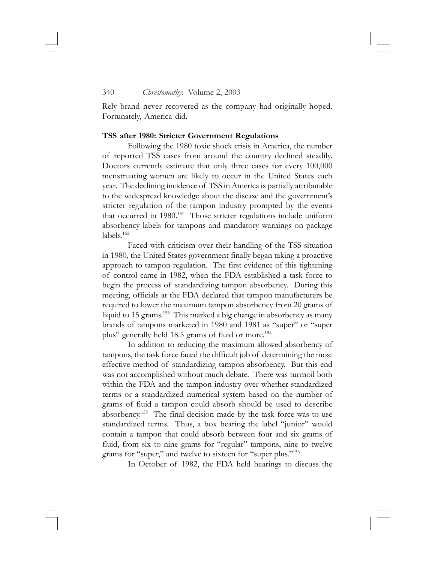Rely brand never recovered as the company had originally hoped. Fortunately, America did.

#### **TSS after 1980: Stricter Government Regulations**

Following the 1980 toxic shock crisis in America, the number of reported TSS cases from around the country declined steadily. Doctors currently estimate that only three cases for every 100,000 menstruating women are likely to occur in the United States each year. The declining incidence of TSS in America is partially attributable to the widespread knowledge about the disease and the government's stricter regulation of the tampon industry prompted by the events that occurred in 1980.<sup>151</sup> Those stricter regulations include uniform absorbency labels for tampons and mandatory warnings on package labels.152

Faced with criticism over their handling of the TSS situation in 1980, the United States government finally began taking a proactive approach to tampon regulation. The first evidence of this tightening of control came in 1982, when the FDA established a task force to begin the process of standardizing tampon absorbency. During this meeting, officials at the FDA declared that tampon manufacturers be required to lower the maximum tampon absorbency from 20 grams of liquid to 15 grams.<sup>153</sup> This marked a big change in absorbency as many brands of tampons marketed in 1980 and 1981 as "super" or "super plus" generally held 18.5 grams of fluid or more.<sup>154</sup>

In addition to reducing the maximum allowed absorbency of tampons, the task force faced the difficult job of determining the most effective method of standardizing tampon absorbency. But this end was not accomplished without much debate. There was turmoil both within the FDA and the tampon industry over whether standardized terms or a standardized numerical system based on the number of grams of fluid a tampon could absorb should be used to describe absorbency.155 The final decision made by the task force was to use standardized terms. Thus, a box bearing the label "junior" would contain a tampon that could absorb between four and six grams of fluid, from six to nine grams for "regular" tampons, nine to twelve grams for "super," and twelve to sixteen for "super plus."156

In October of 1982, the FDA held hearings to discuss the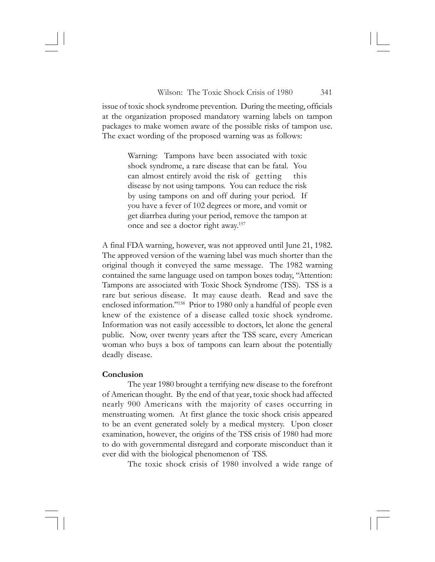issue of toxic shock syndrome prevention. During the meeting, officials at the organization proposed mandatory warning labels on tampon packages to make women aware of the possible risks of tampon use. The exact wording of the proposed warning was as follows:

> Warning: Tampons have been associated with toxic shock syndrome, a rare disease that can be fatal. You can almost entirely avoid the risk of getting this disease by not using tampons. You can reduce the risk by using tampons on and off during your period. If you have a fever of 102 degrees or more, and vomit or get diarrhea during your period, remove the tampon at once and see a doctor right away.157

A final FDA warning, however, was not approved until June 21, 1982. The approved version of the warning label was much shorter than the original though it conveyed the same message. The 1982 warning contained the same language used on tampon boxes today, "Attention: Tampons are associated with Toxic Shock Syndrome (TSS). TSS is a rare but serious disease. It may cause death. Read and save the enclosed information."<sup>158</sup> Prior to 1980 only a handful of people even knew of the existence of a disease called toxic shock syndrome. Information was not easily accessible to doctors, let alone the general public. Now, over twenty years after the TSS scare, every American woman who buys a box of tampons can learn about the potentially deadly disease.

### **Conclusion**

The year 1980 brought a terrifying new disease to the forefront of American thought. By the end of that year, toxic shock had affected nearly 900 Americans with the majority of cases occurring in menstruating women. At first glance the toxic shock crisis appeared to be an event generated solely by a medical mystery. Upon closer examination, however, the origins of the TSS crisis of 1980 had more to do with governmental disregard and corporate misconduct than it ever did with the biological phenomenon of TSS.

The toxic shock crisis of 1980 involved a wide range of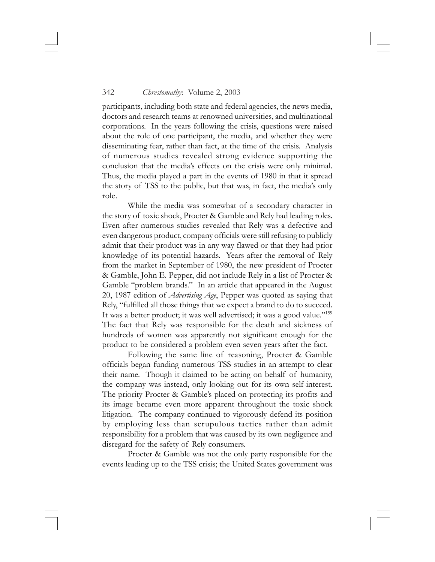participants, including both state and federal agencies, the news media, doctors and research teams at renowned universities, and multinational corporations. In the years following the crisis, questions were raised about the role of one participant, the media, and whether they were disseminating fear, rather than fact, at the time of the crisis. Analysis of numerous studies revealed strong evidence supporting the conclusion that the media's effects on the crisis were only minimal. Thus, the media played a part in the events of 1980 in that it spread the story of TSS to the public, but that was, in fact, the media's only role.

While the media was somewhat of a secondary character in the story of toxic shock, Procter & Gamble and Rely had leading roles. Even after numerous studies revealed that Rely was a defective and even dangerous product, company officials were still refusing to publicly admit that their product was in any way flawed or that they had prior knowledge of its potential hazards. Years after the removal of Rely from the market in September of 1980, the new president of Procter & Gamble, John E. Pepper, did not include Rely in a list of Procter & Gamble "problem brands." In an article that appeared in the August 20, 1987 edition of *Advertising Age*, Pepper was quoted as saying that Rely, "fulfilled all those things that we expect a brand to do to succeed. It was a better product; it was well advertised; it was a good value."159 The fact that Rely was responsible for the death and sickness of hundreds of women was apparently not significant enough for the product to be considered a problem even seven years after the fact.

Following the same line of reasoning, Procter & Gamble officials began funding numerous TSS studies in an attempt to clear their name. Though it claimed to be acting on behalf of humanity, the company was instead, only looking out for its own self-interest. The priority Procter & Gamble's placed on protecting its profits and its image became even more apparent throughout the toxic shock litigation. The company continued to vigorously defend its position by employing less than scrupulous tactics rather than admit responsibility for a problem that was caused by its own negligence and disregard for the safety of Rely consumers.

Procter & Gamble was not the only party responsible for the events leading up to the TSS crisis; the United States government was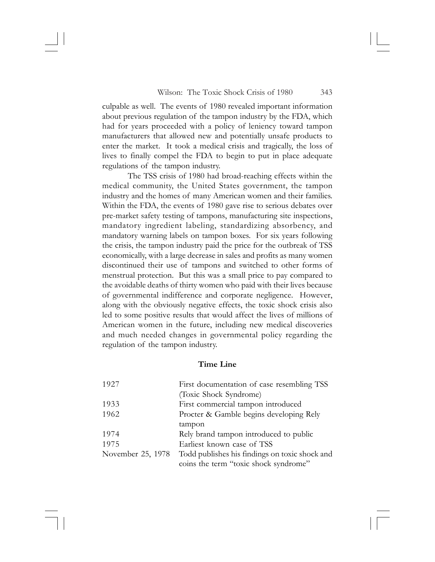culpable as well. The events of 1980 revealed important information about previous regulation of the tampon industry by the FDA, which had for years proceeded with a policy of leniency toward tampon manufacturers that allowed new and potentially unsafe products to enter the market. It took a medical crisis and tragically, the loss of lives to finally compel the FDA to begin to put in place adequate regulations of the tampon industry.

The TSS crisis of 1980 had broad-reaching effects within the medical community, the United States government, the tampon industry and the homes of many American women and their families. Within the FDA, the events of 1980 gave rise to serious debates over pre-market safety testing of tampons, manufacturing site inspections, mandatory ingredient labeling, standardizing absorbency, and mandatory warning labels on tampon boxes. For six years following the crisis, the tampon industry paid the price for the outbreak of TSS economically, with a large decrease in sales and profits as many women discontinued their use of tampons and switched to other forms of menstrual protection. But this was a small price to pay compared to the avoidable deaths of thirty women who paid with their lives because of governmental indifference and corporate negligence. However, along with the obviously negative effects, the toxic shock crisis also led to some positive results that would affect the lives of millions of American women in the future, including new medical discoveries and much needed changes in governmental policy regarding the regulation of the tampon industry.

# **Time Line**

| 1927              | First documentation of case resembling TSS     |
|-------------------|------------------------------------------------|
|                   | (Toxic Shock Syndrome)                         |
| 1933              | First commercial tampon introduced             |
| 1962              | Procter & Gamble begins developing Rely        |
|                   | tampon                                         |
| 1974              | Rely brand tampon introduced to public         |
| 1975              | Earliest known case of TSS                     |
| November 25, 1978 | Todd publishes his findings on toxic shock and |
|                   | coins the term "toxic shock syndrome"          |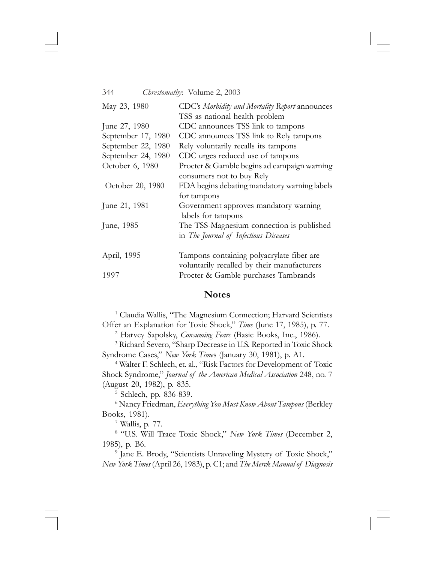| May 23, 1980       | CDC's Morbidity and Mortality Report announces |
|--------------------|------------------------------------------------|
|                    | TSS as national health problem                 |
| June 27, 1980      | CDC announces TSS link to tampons              |
| September 17, 1980 | CDC announces TSS link to Rely tampons         |
| September 22, 1980 | Rely voluntarily recalls its tampons           |
| September 24, 1980 | CDC urges reduced use of tampons               |
| October 6, 1980    | Procter & Gamble begins ad campaign warning    |
|                    | consumers not to buy Rely                      |
| October 20, 1980   | FDA begins debating mandatory warning labels   |
|                    | for tampons                                    |
| June 21, 1981      | Government approves mandatory warning          |
|                    | labels for tampons                             |
| June, 1985         | The TSS-Magnesium connection is published      |
|                    | in The Journal of Infectious Diseases          |
| April, 1995        | Tampons containing polyacrylate fiber are      |
|                    | voluntarily recalled by their manufacturers    |
| 1997               | Procter & Gamble purchases Tambrands           |

# **Notes**

<sup>1</sup> Claudia Wallis, "The Magnesium Connection; Harvard Scientists Offer an Explanation for Toxic Shock," *Time* (June 17, 1985), p. 77.

2 Harvey Sapolsky, *Consuming Fears* (Basic Books, Inc., 1986).

3 Richard Severo, "Sharp Decrease in U.S. Reported in Toxic Shock Syndrome Cases," *New York Time*s (January 30, 1981), p. A1.

4 Walter F. Schlech, et. al., "Risk Factors for Development of Toxic Shock Syndrome," *Journal of the American Medical Association* 248, no. 7 (August 20, 1982), p. 835.

5 Schlech, pp. 836-839.

6 Nancy Friedman, *Everything You Must Know About Tampons* (Berkley Books, 1981).

7 Wallis, p. 77.

8 "U.S. Will Trace Toxic Shock," *New York Times* (December 2, 1985), p. B6.

9 Jane E. Brody, "Scientists Unraveling Mystery of Toxic Shock," *New York Times* (April 26, 1983), p. C1; and *The Merck Manual of Diagnosis*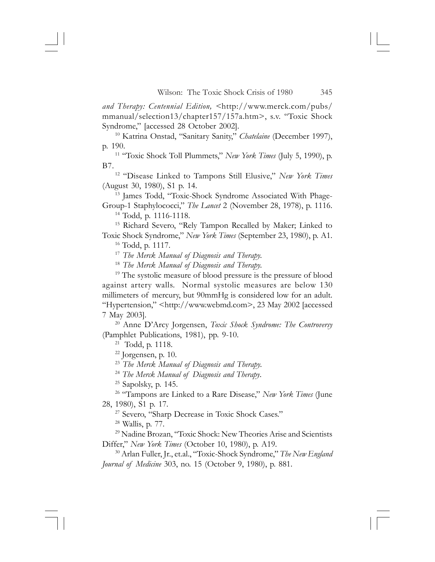*and Therapy: Centennial Edition, <*http://www.merck.com/pubs/ mmanual/selection13/chapter157/157a.htm>, s.v. "Toxic Shock Syndrome," [accessed 28 October 2002].

10 Katrina Onstad, "Sanitary Sanity," *Chatelaine* (December 1997), p. 190.

11 "Toxic Shock Toll Plummets," *New York Times* (July 5, 1990), p. B7.

12 "Disease Linked to Tampons Still Elusive," *New York Times* (August 30, 1980), S1 p. 14.

13 James Todd, "Toxic-Shock Syndrome Associated With Phage-Group-1 Staphylococci," *The Lancet* 2 (November 28, 1978), p. 1116.

14 Todd, p. 1116-1118.

<sup>15</sup> Richard Severo, "Rely Tampon Recalled by Maker; Linked to Toxic Shock Syndrome," *New York Times* (September 23, 1980), p. A1.

16 Todd, p. 1117.

<sup>17</sup> *The Merck Manual of Diagnosis and Therapy.*

<sup>18</sup> *The Merck Manual of Diagnosis and Therapy.*

<sup>19</sup> The systolic measure of blood pressure is the pressure of blood against artery walls. Normal systolic measures are below 130 millimeters of mercury, but 90mmHg is considered low for an adult. "Hypertension," <http://www.webmd.com>, 23 May 2002 [accessed 7 May 2003].

20 Anne D'Arcy Jorgensen, *Toxic Shock Syndrome: The Controversy* (Pamphlet Publications, 1981), pp. 9-10.

21 Todd, p. 1118.

22 Jorgensen, p. 10.

<sup>23</sup> *The Merck Manual of Diagnosis and Therapy.*

<sup>24</sup> *The Merck Manual of Diagnosis and Therapy*.

25 Sapolsky, p. 145.

26 "Tampons are Linked to a Rare Disease," *New York Times* (June

28, 1980), S1 p. 17.

<sup>27</sup> Severo, "Sharp Decrease in Toxic Shock Cases."

28 Wallis, p. 77.

29 Nadine Brozan, "Toxic Shock: New Theories Arise and Scientists Differ," *New York Times* (October 10, 1980), p. A19.

30 Arlan Fuller, Jr., et.al., "Toxic-Shock Syndrome," *The New England Journal of Medicine* 303, no. 15 (October 9, 1980), p. 881.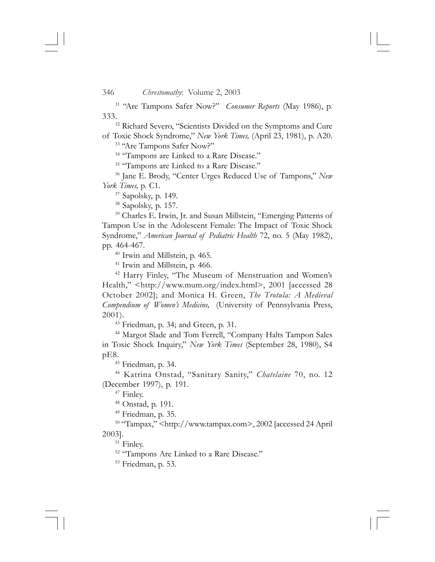31 "Are Tampons Safer Now?" *Consumer Reports* (May 1986), p. 333.

<sup>32</sup> Richard Severo, "Scientists Divided on the Symptoms and Cure of Toxic Shock Syndrome," *New York Times,* (April 23, 1981), p. A20.

33 "Are Tampons Safer Now?"

<sup>34</sup> "Tampons are Linked to a Rare Disease."

<sup>35</sup> "Tampons are Linked to a Rare Disease."

36 Jane E. Brody, "Center Urges Reduced Use of Tampons," *New York Times,* p. C1.

37 Sapolsky, p. 149.

38 Sapolsky, p. 157.

39 Charles E. Irwin, Jr. and Susan Millstein, "Emerging Patterns of Tampon Use in the Adolescent Female: The Impact of Toxic Shock Syndrome," *American Journal of Pediatric Health* 72, no. 5 (May 1982), pp. 464-467.

40 Irwin and Millstein, p. 465.

<sup>41</sup> Irwin and Millstein, p. 466.

42 Harry Finley, "The Museum of Menstruation and Women's Health," <http://www.mum.org/index.html>, 2001 [accessed 28 October 2002]; and Monica H. Green, *The Trotula: A Medieval Compendium of Women's Medicine,* (University of Pennsylvania Press, 2001).

43 Friedman, p. 34; and Green, p. 31.

44 Margot Slade and Tom Ferrell, "Company Halts Tampon Sales in Toxic Shock Inquiry," *New York Times* (September 28, 1980), S4 pE8.

45 Friedman, p. 34.

46 Katrina Onstad, "Sanitary Sanity," *Chatelaine* 70, no. 12 (December 1997), p. 191.

47 Finley.

48 Onstad, p. 191.

49 Friedman, p. 35.

50 "Tampax," <http://www.tampax.com>, 2002 [accessed 24 April 2003].

51 Finley.

<sup>52</sup> "Tampons Are Linked to a Rare Disease."

53 Friedman, p. 53.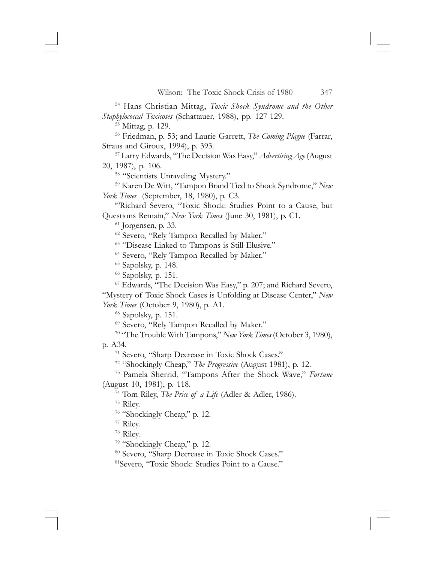54 Hans-Christian Mittag, *Toxic Shock Syndrome and the Other Staphylococcal Toxicoses* (Schattauer, 1988), pp. 127-129.

55 Mittag, p. 129.

56 Friedman, p. 53; and Laurie Garrett, *The Coming Plague* (Farrar, Straus and Giroux, 1994), p. 393.

57 Larry Edwards, "The Decision Was Easy," *Advertising Age* (August 20, 1987), p. 106.

<sup>58</sup> "Scientists Unraveling Mystery."

59 Karen De Witt, "Tampon Brand Tied to Shock Syndrome," *New York Times* (September, 18, 1980), p. C3.

60Richard Severo, "Toxic Shock: Studies Point to a Cause, but Questions Remain," *New York Times* (June 30, 1981), p. C1.

 $61$  Jorgensen, p. 33.

62 Severo, "Rely Tampon Recalled by Maker."

63 "Disease Linked to Tampons is Still Elusive."

<sup>64</sup> Severo, "Rely Tampon Recalled by Maker."

65 Sapolsky, p. 148.

66 Sapolsky, p. 151.

67 Edwards, "The Decision Was Easy," p. 207; and Richard Severo, "Mystery of Toxic Shock Cases is Unfolding at Disease Center," *New York Times* (October 9, 1980), p. A1.

68 Sapolsky, p. 151.

69 Severo, "Rely Tampon Recalled by Maker."

70 "The Trouble With Tampons," *New York Times* (October 3, 1980),

p. A34.

71 Severo, "Sharp Decrease in Toxic Shock Cases."

72 "Shockingly Cheap," *The Progressive* (August 1981), p. 12.

73 Pamela Sherrid, "Tampons After the Shock Wave," *Fortune* (August 10, 1981), p. 118.

74 Tom Riley, *The Price of a Life* (Adler & Adler, 1986).

75 Riley.

76 "Shockingly Cheap," p. 12.

77 Riley.

78 Riley.

79 "Shockingly Cheap," p. 12.

80 Severo, "Sharp Decrease in Toxic Shock Cases."

81Severo, "Toxic Shock: Studies Point to a Cause."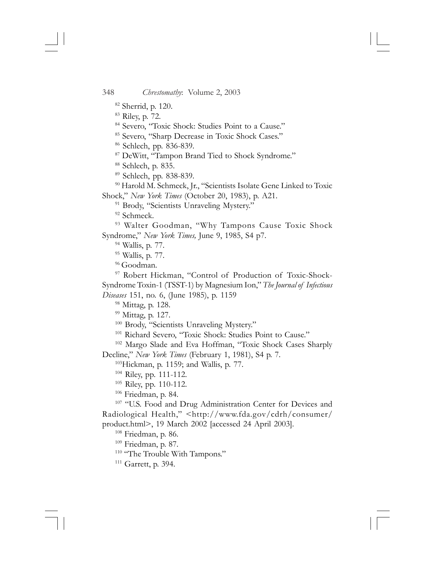- 82 Sherrid, p. 120.
- 83 Riley, p. 72.
- 84 Severo, "Toxic Shock: Studies Point to a Cause."
- 85 Severo, "Sharp Decrease in Toxic Shock Cases."
- 86 Schlech, pp. 836-839.
- 87 DeWitt, "Tampon Brand Tied to Shock Syndrome."
- 88 Schlech, p. 835.
- 89 Schlech, pp. 838-839.

<sup>90</sup> Harold M. Schmeck, Jr., "Scientists Isolate Gene Linked to Toxic Shock," *New York Times* (October 20, 1983), p. A21.

- <sup>91</sup> Brody, "Scientists Unraveling Mystery."
- <sup>92</sup> Schmeck.

<sup>93</sup> Walter Goodman, "Why Tampons Cause Toxic Shock Syndrome," *New York Times,* June 9, 1985, S4 p7.

- 94 Wallis, p. 77.
- 95 Wallis, p. 77.
- <sup>96</sup> Goodman.

97 Robert Hickman, "Control of Production of Toxic-Shock-Syndrome Toxin-1 (TSST-1) by Magnesium Ion," *The Journal of Infectious Diseases* 151, no. 6, (June 1985), p. 1159

98 Mittag, p. 128.

<sup>99</sup> Mittag, p. 127.

<sup>100</sup> Brody, "Scientists Unraveling Mystery."

<sup>101</sup> Richard Severo, "Toxic Shock: Studies Point to Cause."

102 Margo Slade and Eva Hoffman, "Toxic Shock Cases Sharply

Decline," *New York Times* (February 1, 1981), S4 p. 7.

103Hickman, p. 1159; and Wallis, p. 77.

- 104 Riley, pp. 111-112.
- 105 Riley, pp. 110-112.
- 106 Friedman, p. 84.

<sup>107</sup> "U.S. Food and Drug Administration Center for Devices and Radiological Health," <http://www.fda.gov/cdrh/consumer/ product.html>, 19 March 2002 [accessed 24 April 2003].

108 Friedman, p. 86.

109 Friedman, p. 87.

<sup>110</sup> "The Trouble With Tampons."

111 Garrett, p. 394.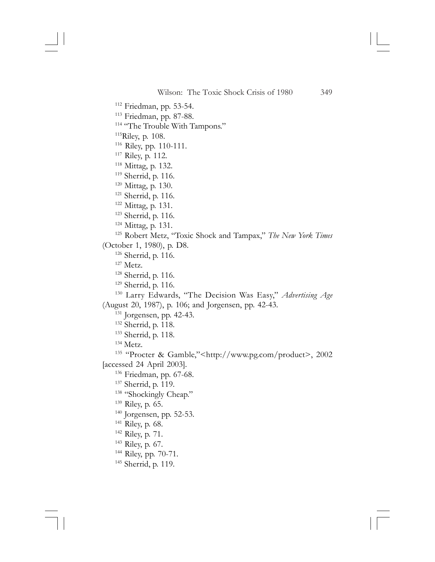112 Friedman, pp. 53-54. 113 Friedman, pp. 87-88. <sup>114</sup> "The Trouble With Tampons." 115Riley, p. 108. 116 Riley, pp. 110-111. 117 Riley, p. 112. 118 Mittag, p. 132. 119 Sherrid, p. 116. 120 Mittag, p. 130. <sup>121</sup> Sherrid, p. 116. 122 Mittag, p. 131. 123 Sherrid, p. 116. 124 Mittag, p. 131. 125 Robert Metz, "Toxic Shock and Tampax," *The New York Times* (October 1, 1980), p. D8. 126 Sherrid, p. 116. 127 Metz. 128 Sherrid, p. 116. <sup>129</sup> Sherrid, p. 116. 130 Larry Edwards, "The Decision Was Easy," *Advertising Age* (August 20, 1987), p. 106; and Jorgensen, pp. 42-43. 131 Jorgensen, pp. 42-43. 132 Sherrid, p. 118. 133 Sherrid, p. 118. 134 Metz. 135 "Procter & Gamble,"<http://www.pg.com/product>, 2002 [accessed 24 April 2003]. 136 Friedman, pp. 67-68. 137 Sherrid, p. 119. <sup>138</sup> "Shockingly Cheap." 139 Riley, p. 65.  $140$  Jorgensen, pp. 52-53. 141 Riley, p. 68. 142 Riley, p. 71. 143 Riley, p. 67. 144 Riley, pp. 70-71. 145 Sherrid, p. 119.